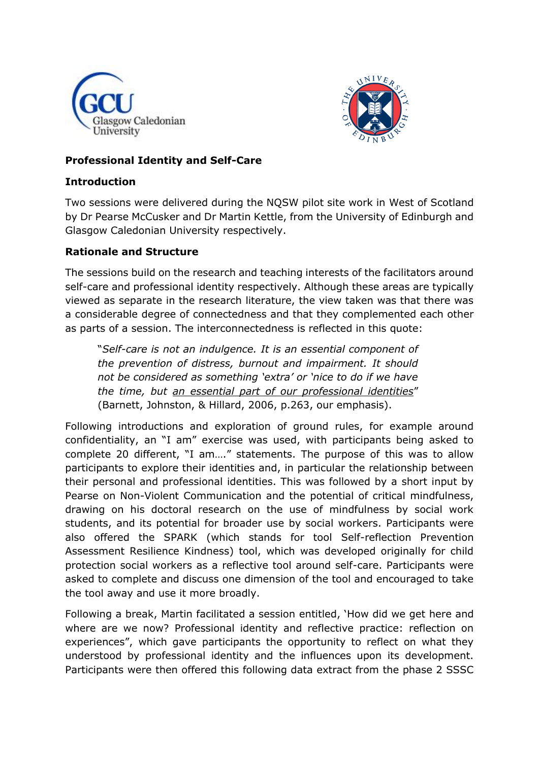



## **Professional Identity and Self-Care**

## **Introduction**

Two sessions were delivered during the NQSW pilot site work in West of Scotland by Dr Pearse McCusker and Dr Martin Kettle, from the University of Edinburgh and Glasgow Caledonian University respectively.

## **Rationale and Structure**

The sessions build on the research and teaching interests of the facilitators around self-care and professional identity respectively. Although these areas are typically viewed as separate in the research literature, the view taken was that there was a considerable degree of connectedness and that they complemented each other as parts of a session. The interconnectedness is reflected in this quote:

"*Self-care is not an indulgence. It is an essential component of the prevention of distress, burnout and impairment. It should not be considered as something 'extra' or 'nice to do if we have the time, but an essential part of our professional identities*" (Barnett, Johnston, & Hillard, 2006, p.263, our emphasis).

Following introductions and exploration of ground rules, for example around confidentiality, an "I am" exercise was used, with participants being asked to complete 20 different, "I am…." statements. The purpose of this was to allow participants to explore their identities and, in particular the relationship between their personal and professional identities. This was followed by a short input by Pearse on Non-Violent Communication and the potential of critical mindfulness, drawing on his doctoral research on the use of mindfulness by social work students, and its potential for broader use by social workers. Participants were also offered the SPARK (which stands for tool [Self-reflection Prevention](https://ideachildrights.ucc.ie/resources/spark-tool1.1b.pdf)  [Assessment Resilience Kindness\) tool, which was developed originally for child](https://ideachildrights.ucc.ie/resources/spark-tool1.1b.pdf)  [protection social workers as a reflective tool around self-care. Participants were](https://ideachildrights.ucc.ie/resources/spark-tool1.1b.pdf)  [asked to complete and discuss one dimension of the tool and encouraged to take](https://ideachildrights.ucc.ie/resources/spark-tool1.1b.pdf)  [the tool away and use it more broadly.](https://ideachildrights.ucc.ie/resources/spark-tool1.1b.pdf) 

Following a break, Martin facilitated a session entitled, 'How did we get here and where are we now? Professional identity and reflective practice: reflection on experiences", which gave participants the opportunity to reflect on what they understood by professional identity and the influences upon its development. Participants were then offered this following data extract from the phase 2 SSSC